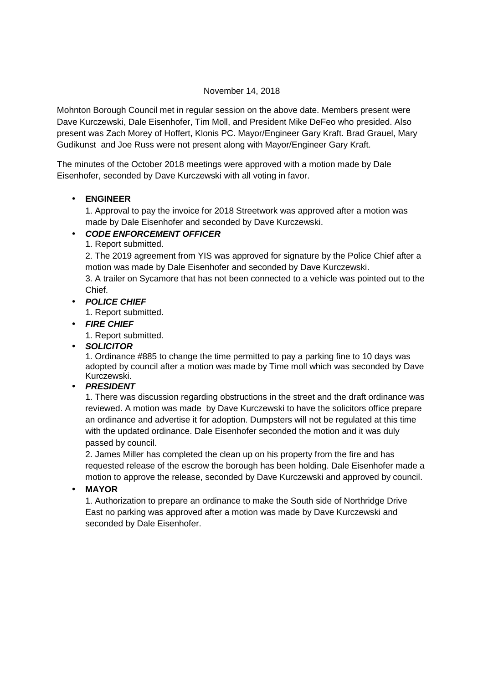#### November 14, 2018

Mohnton Borough Council met in regular session on the above date. Members present were Dave Kurczewski, Dale Eisenhofer, Tim Moll, and President Mike DeFeo who presided. Also present was Zach Morey of Hoffert, Klonis PC. Mayor/Engineer Gary Kraft. Brad Grauel, Mary Gudikunst and Joe Russ were not present along with Mayor/Engineer Gary Kraft.

The minutes of the October 2018 meetings were approved with a motion made by Dale Eisenhofer, seconded by Dave Kurczewski with all voting in favor.

## • **ENGINEER**

1. Approval to pay the invoice for 2018 Streetwork was approved after a motion was made by Dale Eisenhofer and seconded by Dave Kurczewski.

# • **CODE ENFORCEMENT OFFICER**

1. Report submitted.

2. The 2019 agreement from YIS was approved for signature by the Police Chief after a motion was made by Dale Eisenhofer and seconded by Dave Kurczewski.

3. A trailer on Sycamore that has not been connected to a vehicle was pointed out to the Chief.

• **POLICE CHIEF**

1. Report submitted.

• **FIRE CHIEF**

1. Report submitted.

• **SOLICITOR** 

1. Ordinance #885 to change the time permitted to pay a parking fine to 10 days was adopted by council after a motion was made by Time moll which was seconded by Dave Kurczewski.

## • **PRESIDENT**

1. There was discussion regarding obstructions in the street and the draft ordinance was reviewed. A motion was made by Dave Kurczewski to have the solicitors office prepare an ordinance and advertise it for adoption. Dumpsters will not be regulated at this time with the updated ordinance. Dale Eisenhofer seconded the motion and it was duly passed by council.

2. James Miller has completed the clean up on his property from the fire and has requested release of the escrow the borough has been holding. Dale Eisenhofer made a motion to approve the release, seconded by Dave Kurczewski and approved by council.

• **MAYOR** 

1. Authorization to prepare an ordinance to make the South side of Northridge Drive East no parking was approved after a motion was made by Dave Kurczewski and seconded by Dale Eisenhofer.